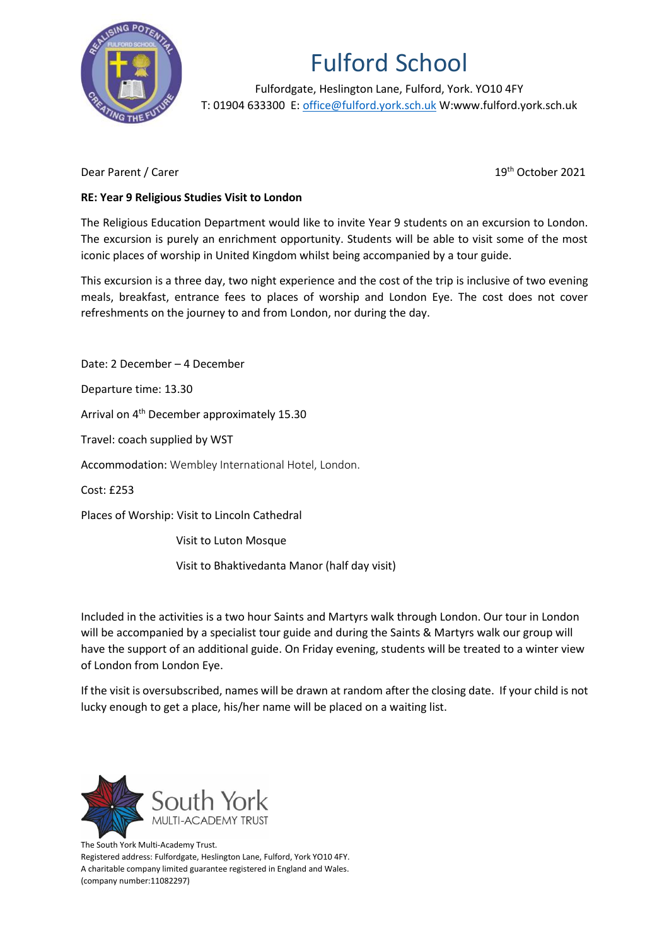

## Fulford School

Fulfordgate, Heslington Lane, Fulford, York. YO10 4FY T: 01904 633300 E: [office@fulford.york.sch.uk](mailto:office@fulford.york.sch.uk) W:www.fulford.york.sch.uk

Dear Parent / Carer

19<sup>th</sup> October 2021

## **RE: Year 9 Religious Studies Visit to London**

The Religious Education Department would like to invite Year 9 students on an excursion to London. The excursion is purely an enrichment opportunity. Students will be able to visit some of the most iconic places of worship in United Kingdom whilst being accompanied by a tour guide.

This excursion is a three day, two night experience and the cost of the trip is inclusive of two evening meals, breakfast, entrance fees to places of worship and London Eye. The cost does not cover refreshments on the journey to and from London, nor during the day.

Date: 2 December – 4 December Departure time: 13.30 Arrival on 4<sup>th</sup> December approximately 15.30 Travel: coach supplied by WST Accommodation: Wembley International Hotel, London. Cost: £253 Places of Worship: Visit to Lincoln Cathedral

Visit to Luton Mosque

Visit to Bhaktivedanta Manor (half day visit)

Included in the activities is a two hour Saints and Martyrs walk through London. Our tour in London will be accompanied by a specialist tour guide and during the Saints & Martyrs walk our group will have the support of an additional guide. On Friday evening, students will be treated to a winter view of London from London Eye.

If the visit is oversubscribed, names will be drawn at random after the closing date. If your child is not lucky enough to get a place, his/her name will be placed on a waiting list.



The South York Multi-Academy Trust. Registered address: Fulfordgate, Heslington Lane, Fulford, York YO10 4FY. A charitable company limited guarantee registered in England and Wales. (company number:11082297)